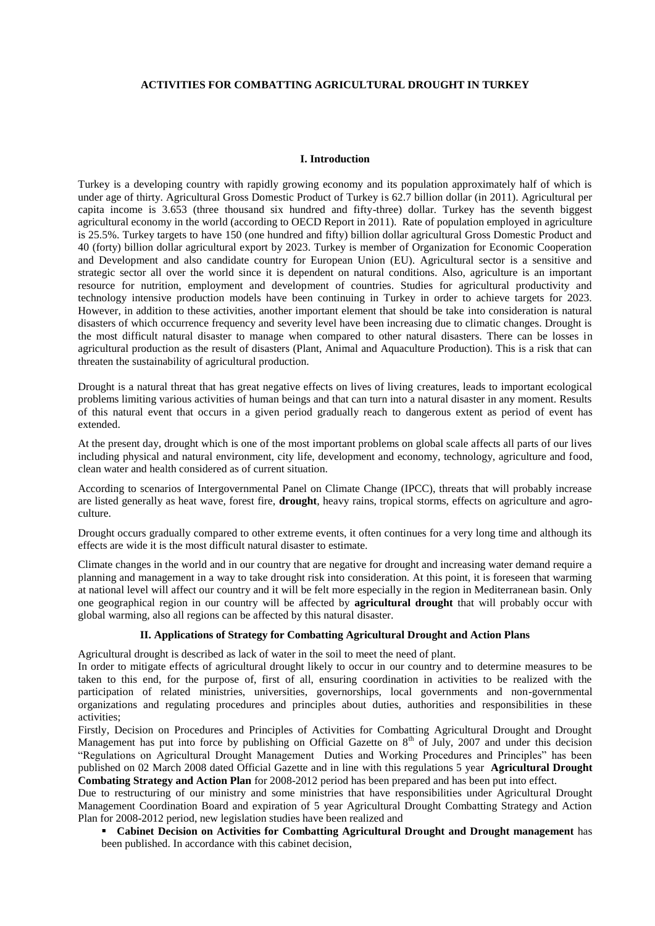### **ACTIVITIES FOR COMBATTING AGRICULTURAL DROUGHT IN TURKEY**

#### **I. Introduction**

Turkey is a developing country with rapidly growing economy and its population approximately half of which is under age of thirty. Agricultural Gross Domestic Product of Turkey is 62.7 billion dollar (in 2011). Agricultural per capita income is 3.653 (three thousand six hundred and fifty-three) dollar. Turkey has the seventh biggest agricultural economy in the world (according to OECD Report in 2011). Rate of population employed in agriculture is 25.5%. Turkey targets to have 150 (one hundred and fifty) billion dollar agricultural Gross Domestic Product and 40 (forty) billion dollar agricultural export by 2023. Turkey is member of Organization for Economic Cooperation and Development and also candidate country for European Union (EU). Agricultural sector is a sensitive and strategic sector all over the world since it is dependent on natural conditions. Also, agriculture is an important resource for nutrition, employment and development of countries. Studies for agricultural productivity and technology intensive production models have been continuing in Turkey in order to achieve targets for 2023. However, in addition to these activities, another important element that should be take into consideration is natural disasters of which occurrence frequency and severity level have been increasing due to climatic changes. Drought is the most difficult natural disaster to manage when compared to other natural disasters. There can be losses in agricultural production as the result of disasters (Plant, Animal and Aquaculture Production). This is a risk that can threaten the sustainability of agricultural production.

Drought is a natural threat that has great negative effects on lives of living creatures, leads to important ecological problems limiting various activities of human beings and that can turn into a natural disaster in any moment. Results of this natural event that occurs in a given period gradually reach to dangerous extent as period of event has extended.

At the present day, drought which is one of the most important problems on global scale affects all parts of our lives including physical and natural environment, city life, development and economy, technology, agriculture and food, clean water and health considered as of current situation.

According to scenarios of Intergovernmental Panel on Climate Change (IPCC), threats that will probably increase are listed generally as heat wave, forest fire, **drought**, heavy rains, tropical storms, effects on agriculture and agroculture.

Drought occurs gradually compared to other extreme events, it often continues for a very long time and although its effects are wide it is the most difficult natural disaster to estimate.

Climate changes in the world and in our country that are negative for drought and increasing water demand require a planning and management in a way to take drought risk into consideration. At this point, it is foreseen that warming at national level will affect our country and it will be felt more especially in the region in Mediterranean basin. Only one geographical region in our country will be affected by **agricultural drought** that will probably occur with global warming, also all regions can be affected by this natural disaster.

#### **II. Applications of Strategy for Combatting Agricultural Drought and Action Plans**

Agricultural drought is described as lack of water in the soil to meet the need of plant.

In order to mitigate effects of agricultural drought likely to occur in our country and to determine measures to be taken to this end, for the purpose of, first of all, ensuring coordination in activities to be realized with the participation of related ministries, universities, governorships, local governments and non-governmental organizations and regulating procedures and principles about duties, authorities and responsibilities in these activities;

Firstly, Decision on Procedures and Principles of Activities for Combatting Agricultural Drought and Drought Management has put into force by publishing on Official Gazette on  $8<sup>th</sup>$  of July, 2007 and under this decision "Regulations on Agricultural Drought Management Duties and Working Procedures and Principles" has been published on 02 March 2008 dated Official Gazette and in line with this regulations 5 year **Agricultural Drought Combating Strategy and Action Plan** for 2008-2012 period has been prepared and has been put into effect.

Due to restructuring of our ministry and some ministries that have responsibilities under Agricultural Drought Management Coordination Board and expiration of 5 year Agricultural Drought Combatting Strategy and Action Plan for 2008-2012 period, new legislation studies have been realized and

 **Cabinet Decision on Activities for Combatting Agricultural Drought and Drought management** has been published. In accordance with this cabinet decision,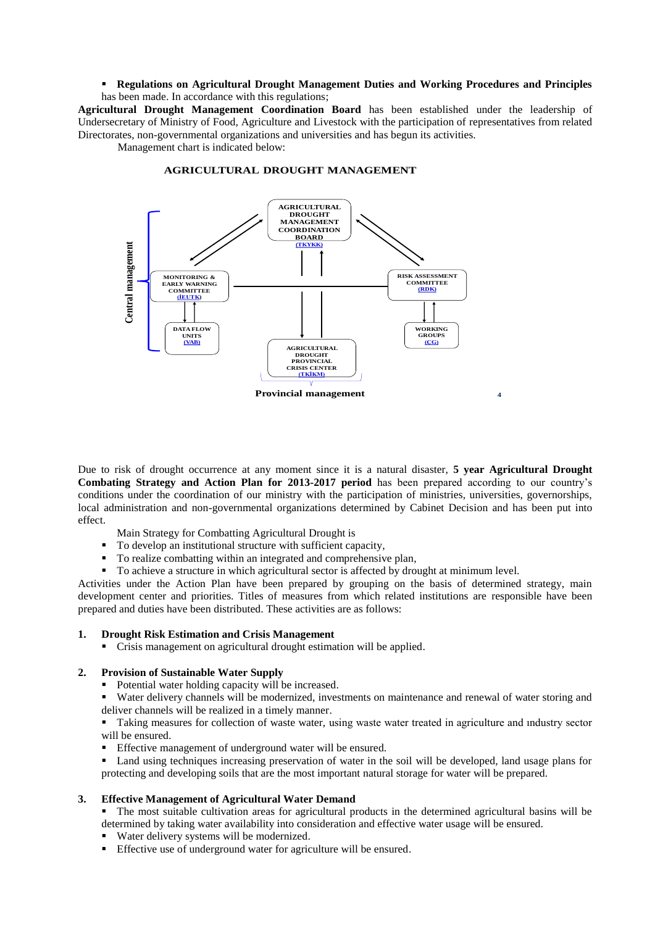## **Regulations on Agricultural Drought Management Duties and Working Procedures and Principles**  has been made. In accordance with this regulations;

**Agricultural Drought Management Coordination Board** has been established under the leadership of Undersecretary of Ministry of Food, Agriculture and Livestock with the participation of representatives from related Directorates, non-governmental organizations and universities and has begun its activities.

Management chart is indicated below:



#### **AGRICULTURAL DROUGHT MANAGEMENT**

Due to risk of drought occurrence at any moment since it is a natural disaster, **5 year Agricultural Drought Combating Strategy and Action Plan for 2013-2017 period** has been prepared according to our country's conditions under the coordination of our ministry with the participation of ministries, universities, governorships, local administration and non-governmental organizations determined by Cabinet Decision and has been put into effect.

- Main Strategy for Combatting Agricultural Drought is
- To develop an institutional structure with sufficient capacity,
- To realize combatting within an integrated and comprehensive plan,
- To achieve a structure in which agricultural sector is affected by drought at minimum level.

Activities under the Action Plan have been prepared by grouping on the basis of determined strategy, main development center and priorities. Titles of measures from which related institutions are responsible have been prepared and duties have been distributed. These activities are as follows:

## **1. Drought Risk Estimation and Crisis Management**

Crisis management on agricultural drought estimation will be applied.

## **2. Provision of Sustainable Water Supply**

- Potential water holding capacity will be increased.
- Water delivery channels will be modernized, investments on maintenance and renewal of water storing and deliver channels will be realized in a timely manner.

 Taking measures for collection of waste water, using waste water treated in agriculture and ındustry sector will be ensured.

- Effective management of underground water will be ensured.
- Land using techniques increasing preservation of water in the soil will be developed, land usage plans for protecting and developing soils that are the most important natural storage for water will be prepared.

## **3. Effective Management of Agricultural Water Demand**

 The most suitable cultivation areas for agricultural products in the determined agricultural basins will be determined by taking water availability into consideration and effective water usage will be ensured.

- Water delivery systems will be modernized.
- Effective use of underground water for agriculture will be ensured.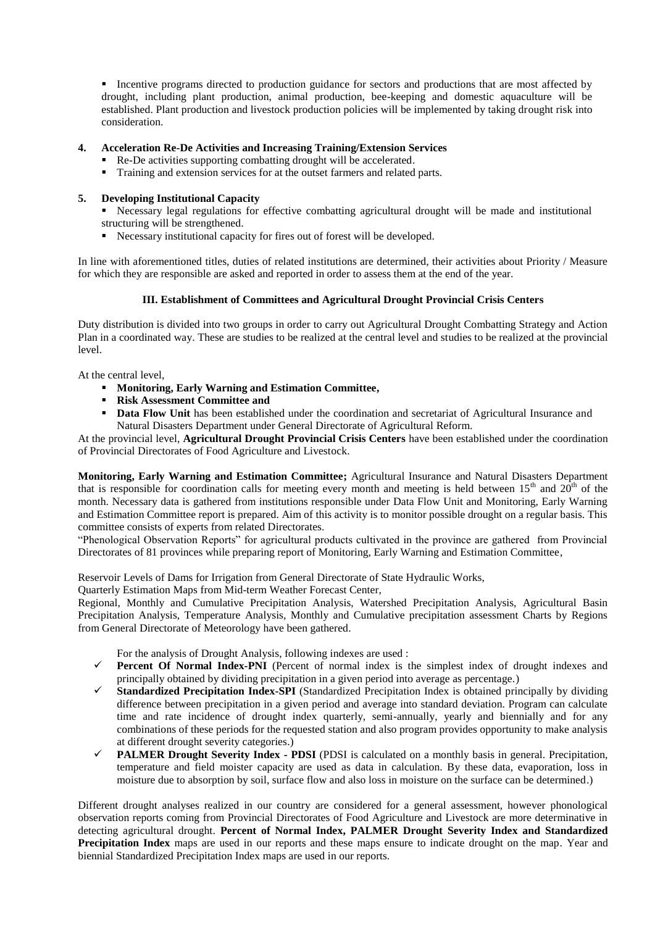**Incentive programs directed to production guidance for sectors and productions that are most affected by** drought, including plant production, animal production, bee-keeping and domestic aquaculture will be established. Plant production and livestock production policies will be implemented by taking drought risk into consideration.

## **4. Acceleration Re-De Activities and Increasing Training/Extension Services**

- Re-De activities supporting combatting drought will be accelerated.
- Training and extension services for at the outset farmers and related parts.

# **5. Developing Institutional Capacity**

 Necessary legal regulations for effective combatting agricultural drought will be made and institutional structuring will be strengthened.

Necessary institutional capacity for fires out of forest will be developed.

In line with aforementioned titles, duties of related institutions are determined, their activities about Priority / Measure for which they are responsible are asked and reported in order to assess them at the end of the year.

# **III. Establishment of Committees and Agricultural Drought Provincial Crisis Centers**

Duty distribution is divided into two groups in order to carry out Agricultural Drought Combatting Strategy and Action Plan in a coordinated way. These are studies to be realized at the central level and studies to be realized at the provincial level.

At the central level,

- **Monitoring, Early Warning and Estimation Committee,**
- **Risk Assessment Committee and**
- **Data Flow Unit** has been established under the coordination and secretariat of Agricultural Insurance and Natural Disasters Department under General Directorate of Agricultural Reform.

At the provincial level, **Agricultural Drought Provincial Crisis Centers** have been established under the coordination of Provincial Directorates of Food Agriculture and Livestock.

**Monitoring, Early Warning and Estimation Committee;** Agricultural Insurance and Natural Disasters Department that is responsible for coordination calls for meeting every month and meeting is held between  $15<sup>th</sup>$  and  $20<sup>th</sup>$  of the month. Necessary data is gathered from institutions responsible under Data Flow Unit and Monitoring, Early Warning and Estimation Committee report is prepared. Aim of this activity is to monitor possible drought on a regular basis. This committee consists of experts from related Directorates.

"Phenological Observation Reports" for agricultural products cultivated in the province are gathered from Provincial Directorates of 81 provinces while preparing report of Monitoring, Early Warning and Estimation Committee,

Reservoir Levels of Dams for Irrigation from General Directorate of State Hydraulic Works,

Quarterly Estimation Maps from Mid-term Weather Forecast Center,

Regional, Monthly and Cumulative Precipitation Analysis, Watershed Precipitation Analysis, Agricultural Basin Precipitation Analysis, Temperature Analysis, Monthly and Cumulative precipitation assessment Charts by Regions from General Directorate of Meteorology have been gathered.

For the analysis of Drought Analysis, following indexes are used :

- **Percent Of Normal Index-PNI** (Percent of normal index is the simplest index of drought indexes and principally obtained by dividing precipitation in a given period into average as percentage.)
- **Standardized Precipitation Index-SPI** (Standardized Precipitation Index is obtained principally by dividing difference between precipitation in a given period and average into standard deviation. Program can calculate time and rate incidence of drought index quarterly, semi-annually, yearly and biennially and for any combinations of these periods for the requested station and also program provides opportunity to make analysis at different drought severity categories.)
- **PALMER Drought Severity Index - PDSI** (PDSI is calculated on a monthly basis in general. Precipitation, temperature and field moister capacity are used as data in calculation. By these data, evaporation, loss in moisture due to absorption by soil, surface flow and also loss in moisture on the surface can be determined.)

Different drought analyses realized in our country are considered for a general assessment, however phonological observation reports coming from Provincial Directorates of Food Agriculture and Livestock are more determinative in detecting agricultural drought. **Percent of Normal Index, PALMER Drought Severity Index and Standardized Precipitation Index** maps are used in our reports and these maps ensure to indicate drought on the map. Year and biennial Standardized Precipitation Index maps are used in our reports.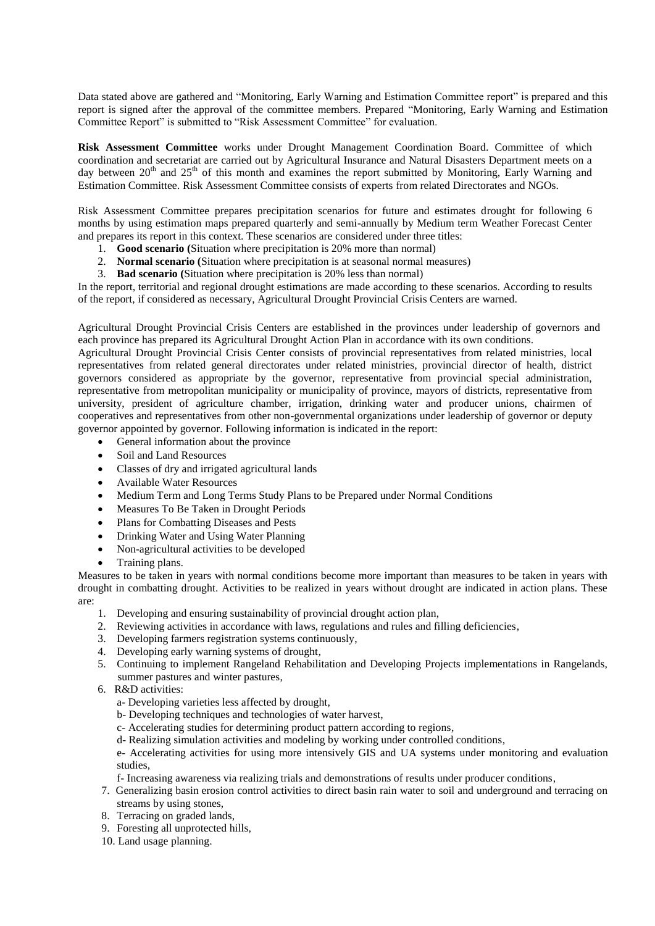Data stated above are gathered and "Monitoring, Early Warning and Estimation Committee report" is prepared and this report is signed after the approval of the committee members. Prepared "Monitoring, Early Warning and Estimation Committee Report" is submitted to "Risk Assessment Committee" for evaluation.

**Risk Assessment Committee** works under Drought Management Coordination Board. Committee of which coordination and secretariat are carried out by Agricultural Insurance and Natural Disasters Department meets on a day between  $20<sup>th</sup>$  and  $25<sup>th</sup>$  of this month and examines the report submitted by Monitoring, Early Warning and Estimation Committee. Risk Assessment Committee consists of experts from related Directorates and NGOs.

Risk Assessment Committee prepares precipitation scenarios for future and estimates drought for following 6 months by using estimation maps prepared quarterly and semi-annually by Medium term Weather Forecast Center and prepares its report in this context. These scenarios are considered under three titles:

- 1. **Good scenario (**Situation where precipitation is 20% more than normal)
- 2. **Normal scenario (**Situation where precipitation is at seasonal normal measures)
- 3. **Bad scenario (**Situation where precipitation is 20% less than normal)

In the report, territorial and regional drought estimations are made according to these scenarios. According to results of the report, if considered as necessary, Agricultural Drought Provincial Crisis Centers are warned.

Agricultural Drought Provincial Crisis Centers are established in the provinces under leadership of governors and each province has prepared its Agricultural Drought Action Plan in accordance with its own conditions.

Agricultural Drought Provincial Crisis Center consists of provincial representatives from related ministries, local representatives from related general directorates under related ministries, provincial director of health, district governors considered as appropriate by the governor, representative from provincial special administration, representative from metropolitan municipality or municipality of province, mayors of districts, representative from university, president of agriculture chamber, irrigation, drinking water and producer unions, chairmen of cooperatives and representatives from other non-governmental organizations under leadership of governor or deputy governor appointed by governor. Following information is indicated in the report:

- General information about the province
- Soil and Land Resources
- Classes of dry and irrigated agricultural lands
- Available Water Resources
- Medium Term and Long Terms Study Plans to be Prepared under Normal Conditions
- Measures To Be Taken in Drought Periods
- Plans for Combatting Diseases and Pests
- Drinking Water and Using Water Planning
- Non-agricultural activities to be developed
- Training plans.

Measures to be taken in years with normal conditions become more important than measures to be taken in years with drought in combatting drought. Activities to be realized in years without drought are indicated in action plans. These are:

- 1. Developing and ensuring sustainability of provincial drought action plan,
- 2. Reviewing activities in accordance with laws, regulations and rules and filling deficiencies,
- 3. Developing farmers registration systems continuously,
- 4. Developing early warning systems of drought,
- 5. Continuing to implement Rangeland Rehabilitation and Developing Projects implementations in Rangelands, summer pastures and winter pastures,
- 6. R&D activities:
	- a- Developing varieties less affected by drought,
	- b- Developing techniques and technologies of water harvest,
	- c- Accelerating studies for determining product pattern according to regions,
	- d- Realizing simulation activities and modeling by working under controlled conditions,

e- Accelerating activities for using more intensively GIS and UA systems under monitoring and evaluation studies,

- f- Increasing awareness via realizing trials and demonstrations of results under producer conditions,
- 7. Generalizing basin erosion control activities to direct basin rain water to soil and underground and terracing on streams by using stones,
- 8. Terracing on graded lands,
- 9. Foresting all unprotected hills,
- 10. Land usage planning.